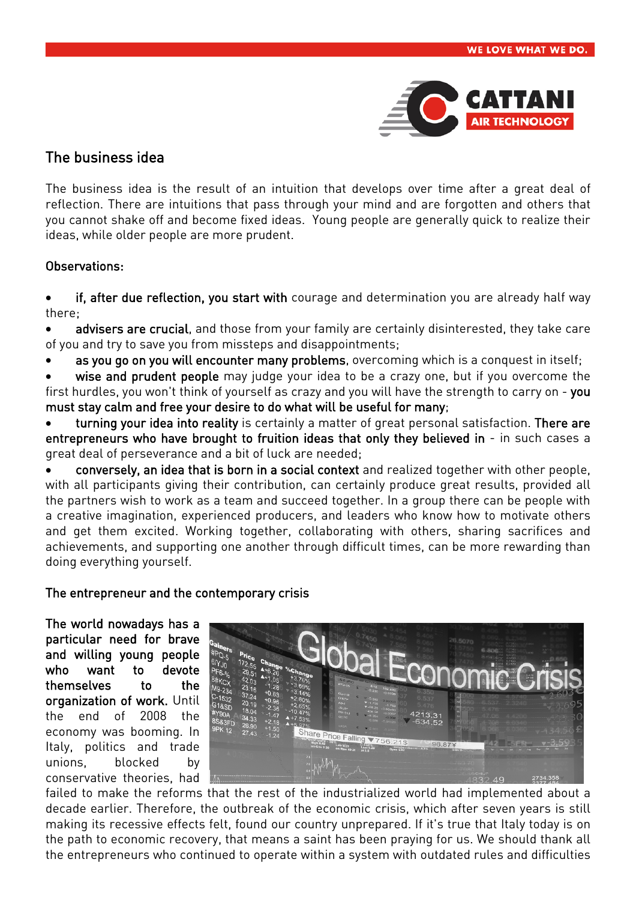

# The business idea

The business idea is the result of an intuition that develops over time after a great deal of reflection. There are intuitions that pass through your mind and are forgotten and others that you cannot shake off and become fixed ideas. Young people are generally quick to realize their ideas, while older people are more prudent.

## Observations:

• if, after due reflection, you start with courage and determination you are already half way there;

advisers are crucial, and those from your family are certainly disinterested, they take care of you and try to save you from missteps and disappointments;

- as you go on you will encounter many problems, overcoming which is a conquest in itself;
- wise and prudent people may judge your idea to be a crazy one, but if you overcome the

first hurdles, you won't think of yourself as crazy and you will have the strength to carry on - you must stay calm and free your desire to do what will be useful for many;

turning your idea into reality is certainly a matter of great personal satisfaction. There are entrepreneurs who have brought to fruition ideas that only they believed in - in such cases a great deal of perseverance and a bit of luck are needed;

• conversely, an idea that is born in a social context and realized together with other people, with all participants giving their contribution, can certainly produce great results, provided all the partners wish to work as a team and succeed together. In a group there can be people with a creative imagination, experienced producers, and leaders who know how to motivate others and get them excited. Working together, collaborating with others, sharing sacrifices and achievements, and supporting one another through difficult times, can be more rewarding than doing everything yourself.

### The entrepreneur and the contemporary crisis

The world nowadays has a particular need for brave and willing young people who want to devote themselves to the organization of work. Until the end of 2008 the economy was booming. In Italy, politics and trade unions, blocked by conservative theories, had



failed to make the reforms that the rest of the industrialized world had implemented about a decade earlier. Therefore, the outbreak of the economic crisis, which after seven years is still making its recessive effects felt, found our country unprepared. If it's true that Italy today is on the path to economic recovery, that means a saint has been praying for us. We should thank all the entrepreneurs who continued to operate within a system with outdated rules and difficulties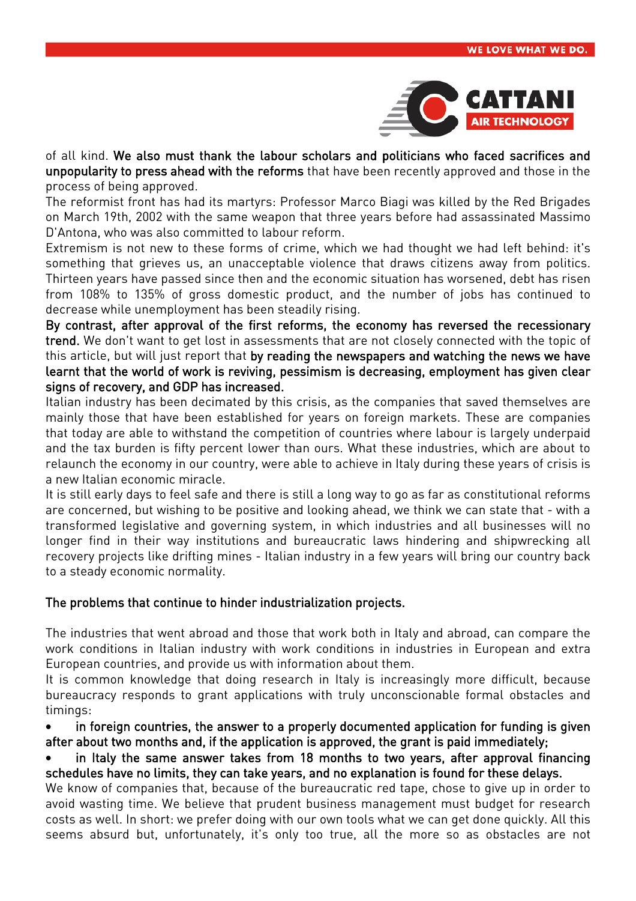

of all kind. We also must thank the labour scholars and politicians who faced sacrifices and unpopularity to press ahead with the reforms that have been recently approved and those in the process of being approved.

The reformist front has had its martyrs: Professor Marco Biagi was killed by the Red Brigades on March 19th, 2002 with the same weapon that three years before had assassinated Massimo D'Antona, who was also committed to labour reform.

Extremism is not new to these forms of crime, which we had thought we had left behind: it's something that grieves us, an unacceptable violence that draws citizens away from politics. Thirteen years have passed since then and the economic situation has worsened, debt has risen from 108% to 135% of gross domestic product, and the number of jobs has continued to decrease while unemployment has been steadily rising.

By contrast, after approval of the first reforms, the economy has reversed the recessionary trend. We don't want to get lost in assessments that are not closely connected with the topic of this article, but will just report that by reading the newspapers and watching the news we have learnt that the world of work is reviving, pessimism is decreasing, employment has given clear signs of recovery, and GDP has increased.

Italian industry has been decimated by this crisis, as the companies that saved themselves are mainly those that have been established for years on foreign markets. These are companies that today are able to withstand the competition of countries where labour is largely underpaid and the tax burden is fifty percent lower than ours. What these industries, which are about to relaunch the economy in our country, were able to achieve in Italy during these years of crisis is a new Italian economic miracle.

It is still early days to feel safe and there is still a long way to go as far as constitutional reforms are concerned, but wishing to be positive and looking ahead, we think we can state that - with a transformed legislative and governing system, in which industries and all businesses will no longer find in their way institutions and bureaucratic laws hindering and shipwrecking all recovery projects like drifting mines - Italian industry in a few years will bring our country back to a steady economic normality.

### The problems that continue to hinder industrialization projects.

The industries that went abroad and those that work both in Italy and abroad, can compare the work conditions in Italian industry with work conditions in industries in European and extra European countries, and provide us with information about them.

It is common knowledge that doing research in Italy is increasingly more difficult, because bureaucracy responds to grant applications with truly unconscionable formal obstacles and timings:

• in foreign countries, the answer to a properly documented application for funding is given after about two months and, if the application is approved, the grant is paid immediately;

in Italy the same answer takes from 18 months to two years, after approval financing schedules have no limits, they can take years, and no explanation is found for these delays.

We know of companies that, because of the bureaucratic red tape, chose to give up in order to avoid wasting time. We believe that prudent business management must budget for research costs as well. In short: we prefer doing with our own tools what we can get done quickly. All this seems absurd but, unfortunately, it's only too true, all the more so as obstacles are not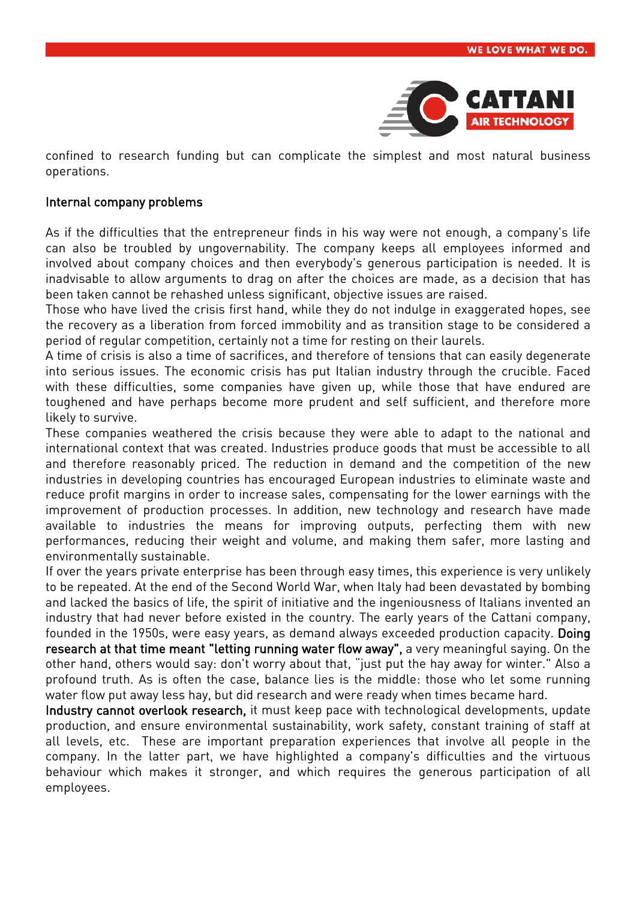

confined to research funding but can complicate the simplest and most natural business operations.

#### Internal company problems

As if the difficulties that the entrepreneur finds in his way were not enough, a company's life can also be troubled by ungovernability. The company keeps all employees informed and involved about company choices and then everybody's generous participation is needed. It is inadvisable to allow arguments to drag on after the choices are made, as a decision that has been taken cannot be rehashed unless significant, objective issues are raised.

Those who have lived the crisis first hand, while they do not indulge in exaggerated hopes, see the recovery as a liberation from forced immobility and as transition stage to be considered a period of regular competition, certainly not a time for resting on their laurels.

A time of crisis is also a time of sacrifices, and therefore of tensions that can easily degenerate into serious issues. The economic crisis has put Italian industry through the crucible. Faced with these difficulties, some companies have given up, while those that have endured are toughened and have perhaps become more prudent and self sufficient, and therefore more likely to survive.

These companies weathered the crisis because they were able to adapt to the national and international context that was created. Industries produce goods that must be accessible to all and therefore reasonably priced. The reduction in demand and the competition of the new industries in developing countries has encouraged European industries to eliminate waste and reduce profit margins in order to increase sales, compensating for the lower earnings with the improvement of production processes. In addition, new technology and research have made available to industries the means for improving outputs, perfecting them with new performances, reducing their weight and volume, and making them safer, more lasting and environmentally sustainable.

If over the years private enterprise has been through easy times, this experience is very unlikely to be repeated. At the end of the Second World War, when Italy had been devastated by bombing and lacked the basics of life, the spirit of initiative and the ingeniousness of Italians invented an industry that had never before existed in the country. The early years of the Cattani company, founded in the 1950s, were easy years, as demand always exceeded production capacity. Doing research at that time meant "letting running water flow away", a very meaningful saying. On the other hand, others would say: don't worry about that, "just put the hay away for winter." Also a profound truth. As is often the case, balance lies is the middle: those who let some running water flow put away less hay, but did research and were ready when times became hard.

Industry cannot overlook research, it must keep pace with technological developments, update production, and ensure environmental sustainability, work safety, constant training of staff at all levels, etc. These are important preparation experiences that involve all people in the company. In the latter part, we have highlighted a company's difficulties and the virtuous behaviour which makes it stronger, and which requires the generous participation of all employees.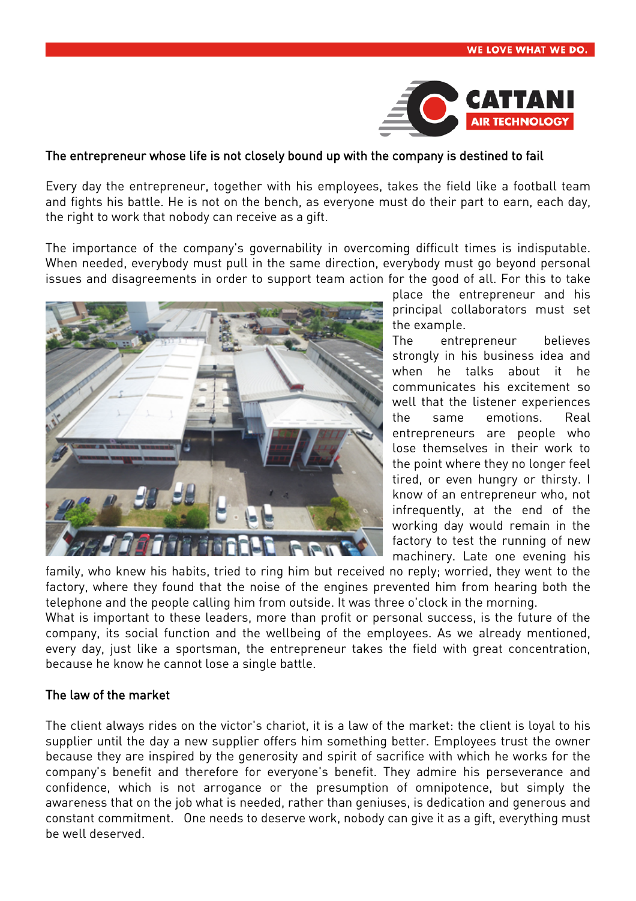

#### The entrepreneur whose life is not closely bound up with the company is destined to fail

Every day the entrepreneur, together with his employees, takes the field like a football team and fights his battle. He is not on the bench, as everyone must do their part to earn, each day, the right to work that nobody can receive as a gift.

The importance of the company's governability in overcoming difficult times is indisputable. When needed, everybody must pull in the same direction, everybody must go beyond personal issues and disagreements in order to support team action for the good of all. For this to take



place the entrepreneur and his principal collaborators must set the example.

The entrepreneur believes strongly in his business idea and when he talks about it he communicates his excitement so well that the listener experiences the same emotions. Real entrepreneurs are people who lose themselves in their work to the point where they no longer feel tired, or even hungry or thirsty. I know of an entrepreneur who, not infrequently, at the end of the working day would remain in the factory to test the running of new machinery. Late one evening his

family, who knew his habits, tried to ring him but received no reply; worried, they went to the factory, where they found that the noise of the engines prevented him from hearing both the telephone and the people calling him from outside. It was three o'clock in the morning.

What is important to these leaders, more than profit or personal success, is the future of the company, its social function and the wellbeing of the employees. As we already mentioned, every day, just like a sportsman, the entrepreneur takes the field with great concentration, because he know he cannot lose a single battle.

#### The law of the market

The client always rides on the victor's chariot, it is a law of the market: the client is loyal to his supplier until the day a new supplier offers him something better. Employees trust the owner because they are inspired by the generosity and spirit of sacrifice with which he works for the company's benefit and therefore for everyone's benefit. They admire his perseverance and confidence, which is not arrogance or the presumption of omnipotence, but simply the awareness that on the job what is needed, rather than geniuses, is dedication and generous and constant commitment. One needs to deserve work, nobody can give it as a gift, everything must be well deserved.